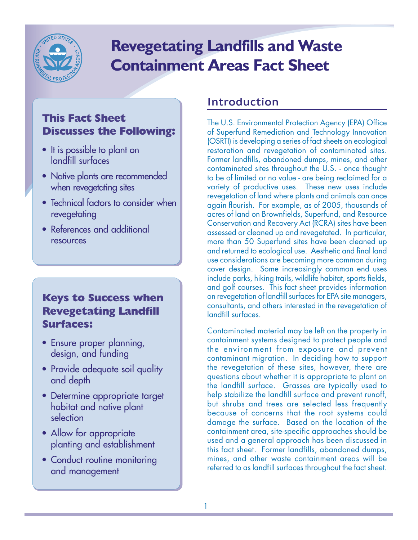

# **Revegetating Landfills and Waste Containment Areas Fact Sheet**

# **This Fact Sheet Discusses the Following:**

- It is possible to plant on landfill surfaces
- Native plants are recommended when revegetating sites
- Technical factors to consider when revegetating
- References and additional resources

## **Keys to Success when Revegetating Landfill Surfaces:**

- Ensure proper planning, design, and funding
- Provide adequate soil quality and depth
- Determine appropriate target habitat and native plant selection
- Allow for appropriate planting and establishment
- Conduct routine monitoring and management

# Introduction

The U.S. Environmental Protection Agency (EPA) Office of Superfund Remediation and Technology Innovation (OSRTI) is developing a series of fact sheets on ecological restoration and revegetation of contaminated sites. Former landfills, abandoned dumps, mines, and other contaminated sites throughout the U.S. - once thought to be of limited or no value - are being reclaimed for a variety of productive uses. These new uses include revegetation of land where plants and animals can once again flourish. For example, as of 2005, thousands of acres of land on Brownfields, Superfund, and Resource Conservation and Recovery Act (RCRA) sites have been assessed or cleaned up and revegetated. In particular, more than 50 Superfund sites have been cleaned up and returned to ecological use. Aesthetic and final land use considerations are becoming more common during cover design. Some increasingly common end uses include parks, hiking trails, wildlife habitat, sports fields, and golf courses. This fact sheet provides information on revegetation of landfill surfaces for EPA site managers, consultants, and others interested in the revegetation of landfill surfaces.

Contaminated material may be left on the property in containment systems designed to protect people and the environment from exposure and prevent contaminant migration. In deciding how to support the revegetation of these sites, however, there are questions about whether it is appropriate to plant on the landfill surface. Grasses are typically used to help stabilize the landfill surface and prevent runoff, but shrubs and trees are selected less frequently because of concerns that the root systems could damage the surface. Based on the location of the containment area, site-specific approaches should be used and a general approach has been discussed in this fact sheet. Former landfills, abandoned dumps, mines, and other waste containment areas will be referred to as landfill surfaces throughout the fact sheet.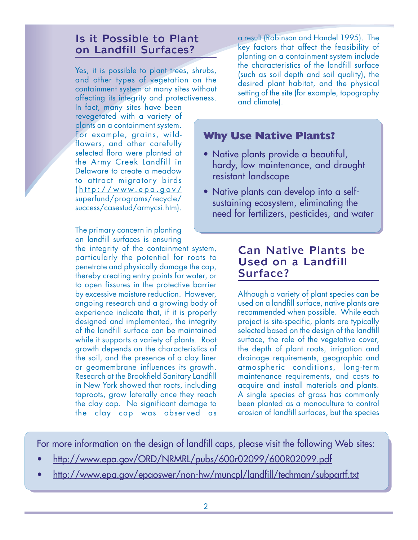## Is it Possible to Plant on Landfill Surfaces?

Yes, it is possible to plant trees, shrubs, and other types of vegetation on the containment system at many sites without affecting its integrity and protectiveness.

In fact, many sites have been revegetated with a variety of plants on a containment system. For example, grains, wildflowers, and other carefully selected flora were planted at the Army Creek Landfill in Delaware to create a meadow to attract migratory birds ( http://www.epa.gov/ superfund/programs/recycle/ success/casestud/armycsi.htm).

The primary concern in planting on landfill surfaces is ensuring

the integrity of the containment system, particularly the potential for roots to penetrate and physically damage the cap, thereby creating entry points for water, or to open fissures in the protective barrier by excessive moisture reduction. However, ongoing research and a growing body of experience indicate that, if it is properly designed and implemented, the integrity of the landfill surface can be maintained while it supports a variety of plants. Root growth depends on the characteristics of the soil, and the presence of a clay liner or geomembrane influences its growth. Research at the Brookfield Sanitary Landfill in New York showed that roots, including taproots, grow laterally once they reach the clay cap. No significant damage to the clay cap was observed as a result (Robinson and Handel 1995). The key factors that affect the feasibility of planting on a containment system include the characteristics of the landfill surface (such as soil depth and soil quality), the desired plant habitat, and the physical setting of the site (for example, topography and climate).

## **Why Use Native Plants?**

- Native plants provide a beautiful, hardy, low maintenance, and drought resistant landscape
- Native plants can develop into a selfsustaining ecosystem, eliminating the need for fertilizers, pesticides, and water

#### Can Native Plants be Used on a Landfill Surface?

Although a variety of plant species can be used on a landfill surface, native plants are recommended when possible. While each project is site-specific, plants are typically selected based on the design of the landfill surface, the role of the vegetative cover, the depth of plant roots, irrigation and drainage requirements, geographic and atmospheric conditions, long-term maintenance requirements, and costs to acquire and install materials and plants. A single species of grass has commonly been planted as a monoculture to control erosion of landfill surfaces, but the species

For more information on the design of landfill caps, please visit the following Web sites:

- <http://www.epa.gov/ORD/NRMRL/pubs/600r02099/600R02099.pdf>
- <http://www.epa.gov/epaoswer/non-hw/muncpl/landfill/techman/subpartf.txt>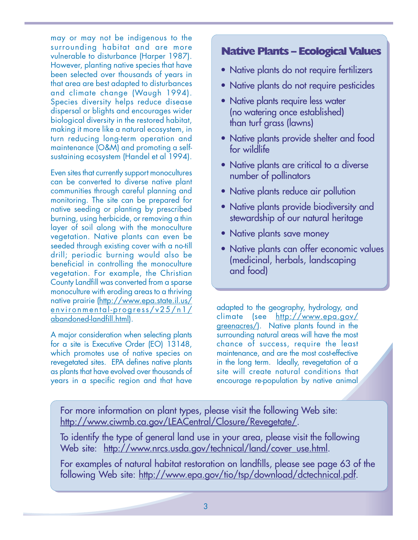may or may not be indigenous to the surrounding habitat and are more vulnerable to disturbance (Harper 1987). However, planting native species that have been selected over thousands of years in that area are best adapted to disturbances and climate change (Waugh 1994). Species diversity helps reduce disease dispersal or blights and encourages wider biological diversity in the restored habitat, making it more like a natural ecosystem, in turn reducing long-term operation and maintenance (O&M) and promoting a selfsustaining ecosystem (Handel et al 1994).

Even sites that currently support monocultures can be converted to diverse native plant communities through careful planning and monitoring. The site can be prepared for native seeding or planting by prescribed burning, using herbicide, or removing a thin layer of soil along with the monoculture vegetation. Native plants can even be seeded through existing cover with a no-till drill; periodic burning would also be beneficial in controlling the monoculture vegetation. For example, the Christian County Landfill was converted from a sparse monoculture with eroding areas to a thriving native prairie (http://www.epa.state.il.us/ environmental-progress/v25/n1/ abandoned-landfill.html).

A major consideration when selecting plants for a site is Executive Order (EO) 13148, which promotes use of native species on revegetated sites. EPA defines native plants as plants that have evolved over thousands of years in a specific region and that have

### **Native Plants – Ecological Values**

- Native plants do not require fertilizers
- Native plants do not require pesticides
- Native plants require less water (no watering once established) than turf grass (lawns)
- Native plants provide shelter and food for wildlife
- Native plants are critical to a diverse number of pollinators
- Native plants reduce air pollution
- Native plants provide biodiversity and stewardship of our natural heritage
- Native plants save money
- Native plants can offer economic values (medicinal, herbals, landscaping and food)

adapted to the geography, hydrology, and climate (see http://www.epa.gov/ greenacres/). Native plants found in the surrounding natural areas will have the most chance of success, require the least maintenance, and are the most cost-effective in the long term. Ideally, revegetation of a site will create natural conditions that encourage re-population by native animal

For more information on plant types, please visit the following Web site: [http://www.ciwmb.ca.gov/LEACentral/Closure/Revegetate/.](http://www.ciwmb.ca.gov/LEACentral/Closure/Revegetate) 

To identify the type of general land use in your area, please visit the following Web site: http://www.nrcs.usda.gov/technical/land/cover\_use.html.

For examples of natural habitat restoration on landfills, please see page 63 of the following Web site: [http://www.epa.gov/tio/tsp/download/dctechnical.pdf.](http://www.epa.gov/tio/tsp/download/dctechnical.pdf)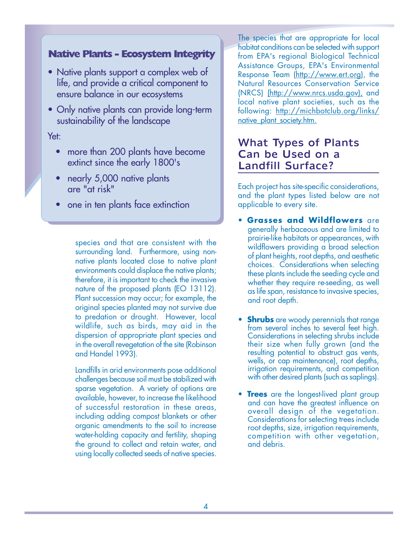#### **Native Plants - Ecosystem Integrity**

- Native plants support a complex web of life, and provide a critical component to ensure balance in our ecosystems
- Only native plants can provide long-term sustainability of the landscape

#### Yet:

- more than 200 plants have become extinct since the early 1800's
- nearly 5,000 native plants are "at risk"
- one in ten plants face extinction

species and that are consistent with the surrounding land. Furthermore, using nonnative plants located close to native plant environments could displace the native plants; therefore, it is important to check the invasive nature of the proposed plants (EO 13112). Plant succession may occur; for example, the original species planted may not survive due to predation or drought. However, local wildlife, such as birds, may aid in the dispersion of appropriate plant species and in the overall revegetation of the site (Robinson and Handel 1993).

Landfills in arid environments pose additional challenges because soil must be stabilized with sparse vegetation. A variety of options are available, however, to increase the likelihood of successful restoration in these areas, including adding compost blankets or other organic amendments to the soil to increase water-holding capacity and fertility, shaping the ground to collect and retain water, and using locally collected seeds of native species. The species that are appropriate for local habitat conditions can be selected with support from EPA's regional Biological Technical Assistance Groups, EPA's Environmental Response Team [\(http://www.ert.org](http://www.ert.org)), the Natural Resources Conservation Service (NRCS) ([http://www.nrcs.usda.gov\), a](http://www.nrcs.usda.gov)nd local native plant societies, such as the following: [http://michbotclub.org/links/](http://michbotclub.org/links)  native\_plant\_society.htm.

#### What Types of Plants Can be Used on a Landfill Surface?

Each project has site-specific considerations, and the plant types listed below are not applicable to every site.

- **Grasses and Wildflowers** are generally herbaceous and are limited to prairie-like habitats or appearances, with wildflowers providing a broad selection of plant heights, root depths, and aesthetic choices. Considerations when selecting these plants include the seeding cycle and whether they require re-seeding, as well as life span, resistance to invasive species, and root depth.
- **Shrubs** are woody perennials that range from several inches to several feet high. Considerations in selecting shrubs include their size when fully grown (and the resulting potential to obstruct gas vents, wells, or cap maintenance), root depths, irrigation requirements, and competition with other desired plants (such as saplings).
- **Trees** are the longest-lived plant group and can have the greatest influence on overall design of the vegetation. Considerations for selecting trees include root depths, size, irrigation requirements, competition with other vegetation, and debris.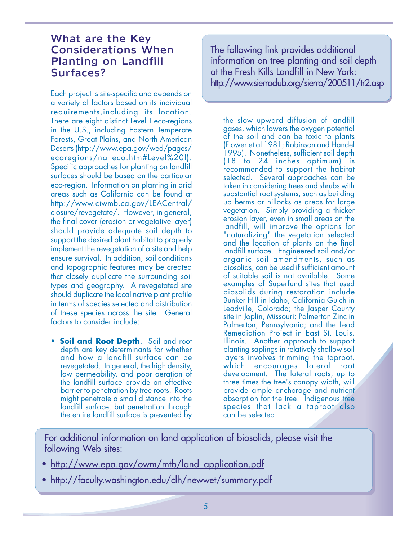#### What are the Key Considerations When Planting on Landfill Surfaces?

Each project is site-specific and depends on a variety of factors based on its individual requirements,including its location. There are eight distinct Level I eco-regions in the U.S., including Eastern Temperate Forests, Great Plains, and North American Deserts (http://www.epa.gov/wed/pages/ ecoregions/na\_eco.htm#Level%20I). Specific approaches for planting on landfill surfaces should be based on the particular eco-region. Information on planting in arid areas such as California can be found at http://www.ciwmb.ca.gov/LEACentral/ closure/revegetate/. However, in general, the final cover (erosion or vegetative layer) should provide adequate soil depth to support the desired plant habitat to properly implement the revegetation of a site and help ensure survival. In addition, soil conditions and topographic features may be created that closely duplicate the surrounding soil types and geography. A revegetated site should duplicate the local native plant profile in terms of species selected and distribution of these species across the site. General factors to consider include:

**• Soil and Root Depth.** Soil and root depth are key determinants for whether and how a landfill surface can be revegetated. In general, the high density, low permeability, and poor aeration of the landfill surface provide an effective barrier to penetration by tree roots. Roots might penetrate a small distance into the landfill surface, but penetration through the entire landfill surface is prevented by

The following link provides additional information on tree planting and soil depth at the Fresh Kills Landfill in New York: <http://www.sierraclub.org/sierra/200511/tr2.asp>

the slow upward diffusion of landfill gases, which lowers the oxygen potential of the soil and can be toxic to plants (Flower et al 1981; Robinson and Handel 1995). Nonetheless, sufficient soil depth (18 to 24 inches optimum) is recommended to support the habitat selected. Several approaches can be taken in considering trees and shrubs with substantial root systems, such as building up berms or hillocks as areas for large vegetation. Simply providing a thicker erosion layer, even in small areas on the landfill, will improve the options for "naturalizing" the vegetation selected and the location of plants on the final landfill surface. Engineered soil and/or organic soil amendments, such as biosolids, can be used if sufficient amount of suitable soil is not available. Some examples of Superfund sites that used biosolids during restoration include Bunker Hill in Idaho; California Gulch in Leadville, Colorado; the Jasper County site in Joplin, Missouri; Palmerton Zinc in Palmerton, Pennsylvania; and the Lead Remediation Project in East St. Louis, Illinois. Another approach to support planting saplings in relatively shallow soil layers involves trimming the taproot, which encourages lateral root development. The lateral roots, up to three times the tree's canopy width, will provide ample anchorage and nutrient absorption for the tree. Indigenous tree species that lack a taproot also can be selected.

For additional information on land application of biosolids, please visit the following Web sites:

- http://www.epa.gov/owm/mtb/land\_application.pdf
- http://faculty.washington.edu/clh/newwet/summary.pdf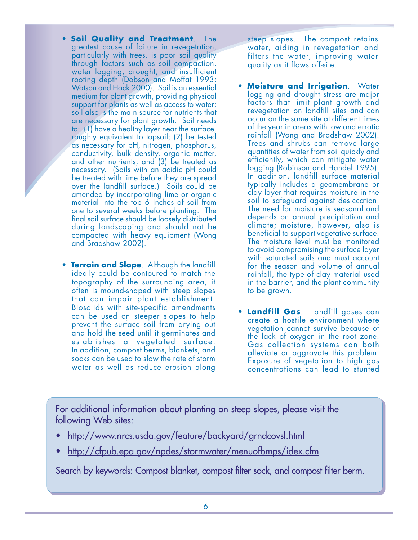- **Soil Quality and Treatment**. The greatest cause of failure in revegetation, particularly with trees, is poor soil quality through factors such as soil compaction, water logging, drought, and insufficient rooting depth (Dobson and Moffat 1993; Watson and Hack 2000). Soil is an essential medium for plant growth, providing physical support for plants as well as access to water; soil also is the main source for nutrients that are necessary for plant growth. Soil needs to: (1) have a healthy layer near the surface, roughly equivalent to topsoil; (2) be tested as necessary for pH, nitrogen, phosphorus, conductivity, bulk density, organic matter, and other nutrients; and (3) be treated as necessary. (Soils with an acidic pH could be treated with lime before they are spread over the landfill surface.) Soils could be amended by incorporating lime or organic material into the top 6 inches of soil from one to several weeks before planting. The final soil surface should be loosely distributed during landscaping and should not be compacted with heavy equipment (Wong and Bradshaw 2002).
- **Terrain and Slope**. Although the landfill ideally could be contoured to match the topography of the surrounding area, it often is mound-shaped with steep slopes that can impair plant establishment. Biosolids with site-specific amendments can be used on steeper slopes to help prevent the surface soil from drying out and hold the seed until it germinates and establishes a vegetated surface. In addition, compost berms, blankets, and socks can be used to slow the rate of storm water as well as reduce erosion along

steep slopes. The compost retains water, aiding in revegetation and filters the water, improving water quality as it flows off-site.

- **Moisture and Irrigation.** Water logging and drought stress are major factors that limit plant growth and revegetation on landfill sites and can occur on the same site at different times of the year in areas with low and erratic rainfall (Wong and Bradshaw 2002). Trees and shrubs can remove large quantities of water from soil quickly and efficiently, which can mitigate water logging (Robinson and Handel 1995). In addition, landfill surface material typically includes a geomembrane or clay layer that requires moisture in the soil to safeguard against desiccation. The need for moisture is seasonal and depends on annual precipitation and climate; moisture, however, also is beneficial to support vegetative surface. The moisture level must be monitored to avoid compromising the surface layer with saturated soils and must account for the season and volume of annual rainfall, the type of clay material used in the barrier, and the plant community to be grown.
- • **Landfill Gas**. Landfill gases can create a hostile environment where vegetation cannot survive because of the lack of oxygen in the root zone. Gas collection systems can both alleviate or aggravate this problem. Exposure of vegetation to high gas concentrations can lead to stunted

For additional information about planting on steep slopes, please visit the following Web sites:

- <http://www.nrcs.usda.gov/feature/backyard/grndcovsl.html>
- <http://cfpub.epa.gov/npdes/stormwater/menuofbmps/idex.cfm>

Search by keywords: Compost blanket, compost filter sock, and compost filter berm.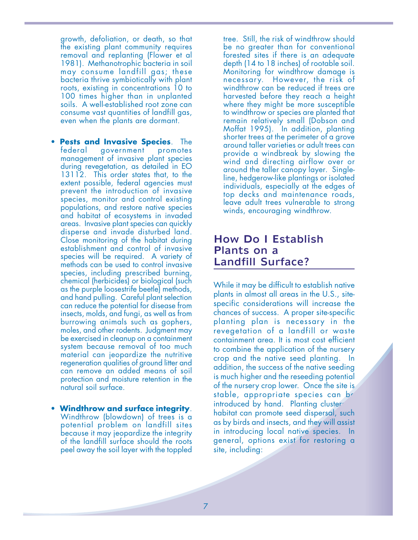growth, defoliation, or death, so that the existing plant community requires removal and replanting (Flower et al 1981). Methanotrophic bacteria in soil may consume landfill gas; these bacteria thrive symbiotically with plant roots, existing in concentrations 10 to 100 times higher than in unplanted soils. A well-established root zone can consume vast quantities of landfill gas, even when the plants are dormant.

- **Pests and Invasive Species**. The federal government promotes federal government management of invasive plant species during revegetation, as detailed in EO 13112. This order states that, to the extent possible, federal agencies must prevent the introduction of invasive species, monitor and control existing populations, and restore native species and habitat of ecosystems in invaded areas. Invasive plant species can quickly disperse and invade disturbed land. Close monitoring of the habitat during establishment and control of invasive species will be required. A variety of methods can be used to control invasive species, including prescribed burning, chemical (herbicides) or biological (such as the purple loosestrife beetle) methods, and hand pulling. Careful plant selection can reduce the potential for disease from insects, molds, and fungi, as well as from burrowing animals such as gophers, moles, and other rodents. Judgment may be exercised in cleanup on a containment system because removal of too much material can jeopardize the nutritive regeneration qualities of ground litter and can remove an added means of soil protection and moisture retention in the natural soil surface.
- • **Windthrow and surface integrity**. Windthrow (blowdown) of trees is a potential problem on landfill sites because it may jeopardize the integrity of the landfill surface should the roots peel away the soil layer with the toppled

tree. Still, the risk of windthrow should be no greater than for conventional forested sites if there is an adequate depth (14 to 18 inches) of rootable soil. Monitoring for windthrow damage is necessary. However, the risk of windthrow can be reduced if trees are harvested before they reach a height where they might be more susceptible to windthrow or species are planted that remain relatively small (Dobson and Moffat 1995). In addition, planting shorter trees at the perimeter of a grove around taller varieties or adult trees can provide a windbreak by slowing the wind and directing airflow over or around the taller canopy layer. Singleline, hedgerow-like plantings or isolated individuals, especially at the edges of top decks and maintenance roads, leave adult trees vulnerable to strong winds, encouraging windthrow.

#### How Do I Establish Plants on a Landfill Surface?

While it may be difficult to establish native plants in almost all areas in the U.S., sitespecific considerations will increase the chances of success. A proper site-specific planting plan is necessary in the revegetation of a landfill or waste containment area. It is most cost efficient to combine the application of the nursery crop and the native seed planting. In addition, the success of the native seeding is much higher and the reseeding potential of the nursery crop lower. Once the site is stable, appropriate species can be introduced by hand. Planting cluster site, including: habitat can promote seed dispersal, such as by birds and insects, and they will assist in introducing local native species. In general, options exist for restoring a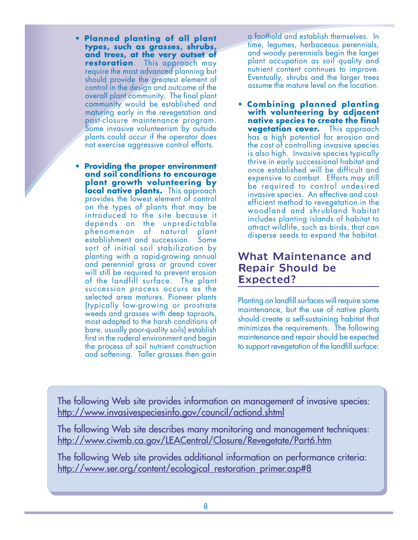- **Planned planting of all plant types, such as grasses, shrubs, and trees, at the very outset of restoration**. This approach may require the most advanced planning but should provide the greatest element of control in the design and outcome of the overall plant community. The final plant Some invasive volunteerism by outside plants could occur if the operator does not exercise aggressive control efforts.
- **Providing the proper environment and soil conditions to encourage plant growth volunteering by local native plants.** This approach provides the lowest element of control on the types of plants that may be introduced to the site because it depends on the unpredictable phenomenon of natural plant establishment and succession. Some sort of initial soil stabilization by planting with a rapid-growing annual and perennial grass or ground cover will still be required to prevent erosion of the landfill surface. The plant succession process occurs as the selected area matures. Pioneer plants (typically low-growing or prostrate weeds and grasses with deep taproots, most adapted to the harsh conditions of bare, usually poor-quality soils) establish first in the ruderal environment and begin the process of soil nutrient construction and softening. Taller grasses then gain

a foothold and establish themselves. In time, legumes, herbaceous perennials, and woody perennials begin the larger plant occupation as soil quality and nutrient content continues to improve. Eventually, shrubs and the larger trees assume the mature level on the location.

community would be established and • **Combining planned planting**  with volunteering by adjacent post-closure maintenance program. **native species to create the final vegetation cover.** This approach has a high potential for erosion and the cost of controlling invasive species is also high. Invasive species typically thrive in early successional habitat and once established will be difficult and expensive to combat. Efforts may still be required to control undesired invasive species. An effective and costefficient method to revegetation in the woodland and shrubland habitat includes planting islands of habitat to attract wildlife, such as birds, that can disperse seeds to expand the habitat.

### What Maintenance and Repair Should be Expected?

Planting on landfill surfaces will require some maintenance, but the use of native plants should create a self-sustaining habitat that minimizes the requirements. The following maintenance and repair should be expected to support revegetation of the landfill surface:

The following Web site provides information on management of invasive species: <http://www.invasivespeciesinfo.gov/council/actiond.shtml>

The following Web site describes many monitoring and management techniques: <http://www.ciwmb.ca.gov/LEACentral/Closure/Revegetate/Part6.htm>

The following Web site provides additional information on performance criteria: http://www.ser.org/content/ecological\_restoration\_primer.asp#8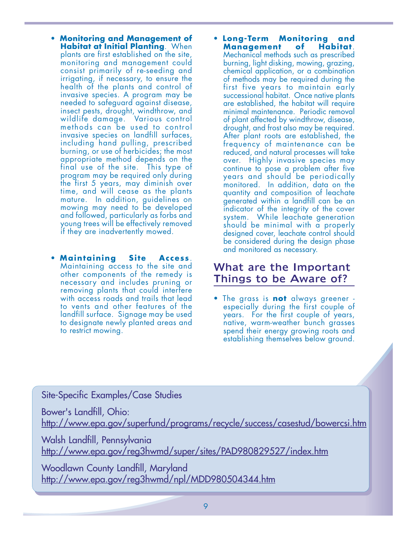- • **Monitoring and Management of Habitat at Initial Planting**. When plants are first established on the site, monitoring and management could consist primarily of re-seeding and irrigating, if necessary, to ensure the health of the plants and control of invasive species. A program may be needed to safeguard against disease, insect pests, drought, windthrow, and wildlife damage. Various control methods can be used to control invasive species on landfill surfaces, including hand pulling, prescribed burning, or use of herbicides; the most appropriate method depends on the final use of the site. This type of program may be required only during the first 5 years, may diminish over time, and will cease as the plants mature. In addition, guidelines on mowing may need to be developed and followed, particularly as forbs and young trees will be effectively removed if they are inadvertently mowed.
- • **Maintaining Site Access**. Maintaining access to the site and other components of the remedy is necessary and includes pruning or removing plants that could interfere with access roads and trails that lead to vents and other features of the landfill surface. Signage may be used to designate newly planted areas and to restrict mowing.
- • **Long-Term Monitoring and Management** Mechanical methods such as prescribed burning, light disking, mowing, grazing, chemical application, or a combination of methods may be required during the first five years to maintain early successional habitat. Once native plants are established, the habitat will require minimal maintenance. Periodic removal of plant affected by windthrow, disease, drought, and frost also may be required. After plant roots are established, the frequency of maintenance can be reduced, and natural processes will take over. Highly invasive species may continue to pose a problem after five years and should be periodically monitored. In addition, data on the quantity and composition of leachate generated within a landfill can be an indicator of the integrity of the cover system. While leachate generation should be minimal with a properly designed cover, leachate control should be considered during the design phase and monitored as necessary.

### What are the Important Things to be Aware of?

• The grass is **not** always greener especially during the first couple of years. For the first couple of years, native, warm-weather bunch grasses spend their energy growing roots and establishing themselves below ground.

Site-Specific Examples/Case Studies

Bower's Landfill, Ohio:

<http://www.epa.gov/superfund/programs/recycle/success/casestud/bowercsi.htm>

Walsh Landfill, Pennsylvania <http://www.epa.gov/reg3hwmd/super/sites/PAD980829527/index.htm>

Woodlawn County Landfill, Maryland <http://www.epa.gov/reg3hwmd/npl/MDD980504344.htm>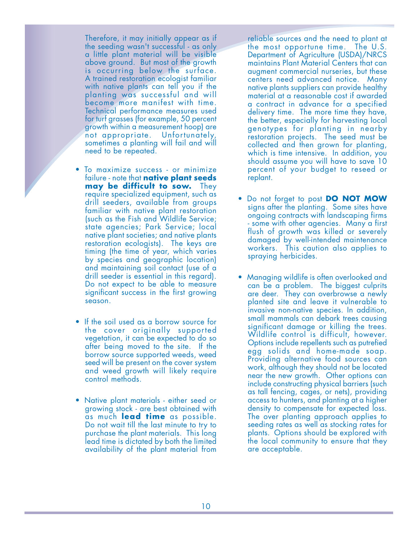Therefore, it may initially appear as if the seeding wasn't successful - as only a little plant material will be visible above ground. But most of the growth is occurring below the surface. A trained restoration ecologist familiar with native plants can tell you if the planting was successful and will become more manifest with time. Technical performance measures used for turf grasses (for example, 50 percent growth within a measurement hoop) are not appropriate. Unfortunately, sometimes a planting will fail and will need to be repeated.

- To maximize success or minimize failure - note that **native plant seeds may be difficult to sow.** They require specialized equipment, such as drill seeders, available from groups familiar with native plant restoration (such as the Fish and Wildlife Service; state agencies; Park Service; local native plant societies; and native plants restoration ecologists). The keys are timing (the time of year, which varies by species and geographic location) and maintaining soil contact (use of a drill seeder is essential in this regard). Do not expect to be able to measure significant success in the first growing season.
- If the soil used as a borrow source for the cover originally supported vegetation, it can be expected to do so after being moved to the site. If the borrow source supported weeds, weed seed will be present on the cover system and weed growth will likely require control methods.
- Native plant materials either seed or growing stock - are best obtained with as much **lead time** as possible. Do not wait till the last minute to try to purchase the plant materials. This long lead time is dictated by both the limited availability of the plant material from

reliable sources and the need to plant at the most opportune time. The U.S. Department of Agriculture (USDA)/NRCS maintains Plant Material Centers that can augment commercial nurseries, but these centers need advanced notice. Many native plants suppliers can provide healthy material at a reasonable cost if awarded a contract in advance for a specified delivery time. The more time they have, the better, especially for harvesting local genotypes for planting in nearby restoration projects. The seed must be collected and then grown for planting, which is time intensive. In addition, you should assume you will have to save 10 percent of your budget to reseed or replant.

- • Do not forget to post **DO NOT MOW**  signs after the planting. Some sites have ongoing contracts with landscaping firms - some with other agencies. Many a first flush of growth was killed or severely damaged by well-intended maintenance workers. This caution also applies to spraying herbicides.
- Managing wildlife is often overlooked and can be a problem. The biggest culprits are deer. They can overbrowse a newly planted site and leave it vulnerable to invasive non-native species. In addition, small mammals can debark trees causing significant damage or killing the trees. Wildlife control is difficult, however. Options include repellents such as putrefied egg solids and home-made soap. Providing alternative food sources can work, although they should not be located near the new growth. Other options can include constructing physical barriers (such as tall fencing, cages, or nets), providing access to hunters, and planting at a higher density to compensate for expected loss. The over planting approach applies to seeding rates as well as stocking rates for plants. Options should be explored with the local community to ensure that they are acceptable.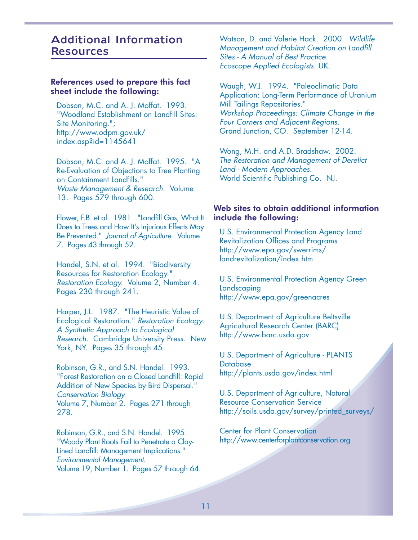### Additional Information Resources

#### References used to prepare this fact sheet include the following:

Dobson, M.C. and A. J. Moffat. 1993. "Woodland Establishment on Landfill Sites: Site Monitoring."; http://www.odpm.gov.uk/ index.asp?id=1145641

Dobson, M.C. and A. J. Moffat. 1995. "A Re-Evaluation of Objections to Tree Planting on Containment Landfills." Waste Management & Research. Volume 13. Pages 579 through 600.

Flower, F.B. et al. 1981. "Landfill Gas, What It Does to Trees and How It's Injurious Effects May Be Prevented." Journal of Agriculture. Volume 7. Pages 43 through 52.

Handel, S.N. et al. 1994. "Biodiversity Resources for Restoration Ecology." Restoration Ecology. Volume 2, Number 4. Pages 230 through 241.

Harper, J.L. 1987. "The Heuristic Value of Ecological Restoration." Restoration Ecology: A Synthetic Approach to Ecological Research. Cambridge University Press. New York, NY. Pages 35 through 45.

Robinson, G.R., and S.N. Handel. 1993. "Forest Restoration on a Closed Landfill: Rapid Addition of New Species by Bird Dispersal." Conservation Biology. Volume 7, Number 2. Pages 271 through 278.

Robinson, G.R., and S.N. Handel. 1995. "Woody Plant Roots Fail to Penetrate a Clay-Lined Landfill: Management Implications." Environmental Management. Volume 19, Number 1. Pages 57 through 64. Watson, D. and Valerie Hack. 2000. Wildlife Management and Habitat Creation on Landfill Sites - A Manual of Best Practice. Ecoscope Applied Ecologists. UK.

Waugh, W.J. 1994. "Paleoclimatic Data Application: Long-Term Performance of Uranium Mill Tailings Repositories." Workshop Proceedings: Climate Change in the Four Corners and Adjacent Regions. Grand Junction, CO. September 12-14.

Wong, M.H. and A.D. Bradshaw. 2002. The Restoration and Management of Derelict Land - Modern Approaches. World Scientific Publishing Co. NJ.

#### Web sites to obtain additional information include the following:

U.S. Environmental Protection Agency Land Revitalization Offices and Programs http://www.epa.gov/swerrims/ landrevitalization/index.htm

U.S. Environmental Protection Agency Green Landscaping http://www.epa.gov/greenacres

U.S. Department of Agriculture Beltsville Agricultural Research Center (BARC) http://www.barc.usda.gov

U.S. Department of Agriculture - PLANTS **Database** <http://plants.usda.gov/index.html>

U.S. Department of Agriculture, Natural Resource Conservation Service [http://soils.usda.gov/survey/printed\\_surveys/](http://soils.usda.gov/survey/printed_surveys)

Center for Plant Conservation <http://www.centerforplantconservation.org>